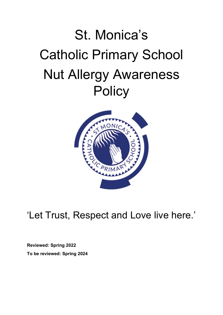# St. Monica's Catholic Primary School Nut Allergy Awareness **Policy**



'Let Trust, Respect and Love live here.'

**Reviewed: Spring 2022 To be reviewed: Spring 2024**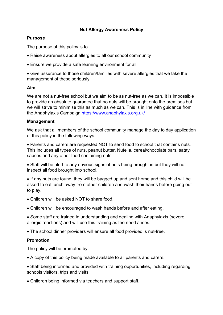# **Nut Allergy Awareness Policy**

## **Purpose**

The purpose of this policy is to

- Raise awareness about allergies to all our school community
- Ensure we provide a safe learning environment for all

• Give assurance to those children/families with severe allergies that we take the management of these seriously.

#### **Aim**

We are not a nut-free school but we aim to be as nut-free as we can. It is impossible to provide an absolute guarantee that no nuts will be brought onto the premises but we will strive to minimise this as much as we can. This is in line with guidance from the Anaphylaxis Campaign<https://www.anaphylaxis.org.uk/>

### **Management**

We ask that all members of the school community manage the day to day application of this policy in the following ways:

• Parents and carers are requested NOT to send food to school that contains nuts. This includes all types of nuts, peanut butter, Nutella, cereal/chocolate bars, satay sauces and any other food containing nuts.

• Staff will be alert to any obvious signs of nuts being brought in but they will not inspect all food brought into school.

• If any nuts are found, they will be bagged up and sent home and this child will be asked to eat lunch away from other children and wash their hands before going out to play.

- Children will be asked NOT to share food.
- Children will be encouraged to wash hands before and after eating.
- Some staff are trained in understanding and dealing with Anaphylaxis (severe allergic reactions) and will use this training as the need arises.

• The school dinner providers will ensure all food provided is nut-free.

## **Promotion**

The policy will be promoted by:

- A copy of this policy being made available to all parents and carers.
- Staff being informed and provided with training opportunities, including regarding schools visitors, trips and visits.
- Children being informed via teachers and support staff.